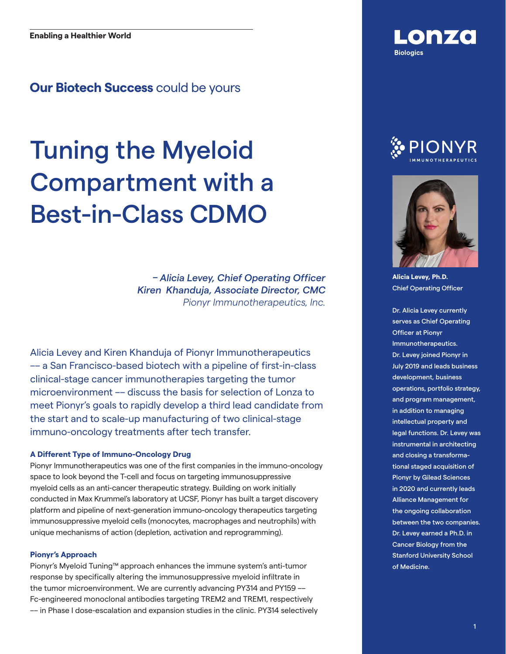### **Our Biotech Success** could be yours

# Tuning the Myeloid Compartment with a Best-in-Class CDMO

*– Alicia Levey, Chief Operating Officer Kiren Khanduja, Associate Director, CMC Pionyr Immunotherapeutics, Inc.*

Alicia Levey and Kiren Khanduja of Pionyr Immunotherapeutics –– a San Francisco-based biotech with a pipeline of first-in-class clinical-stage cancer immunotherapies targeting the tumor microenvironment –– discuss the basis for selection of Lonza to meet Pionyr's goals to rapidly develop a third lead candidate from the start and to scale-up manufacturing of two clinical-stage immuno-oncology treatments after tech transfer.

### **A Different Type of Immuno-Oncology Drug**

Pionyr Immunotherapeutics was one of the first companies in the immuno-oncology space to look beyond the T-cell and focus on targeting immunosuppressive myeloid cells as an anti-cancer therapeutic strategy. Building on work initially conducted in Max Krummel's laboratory at UCSF, Pionyr has built a target discovery platform and pipeline of next-generation immuno-oncology therapeutics targeting immunosuppressive myeloid cells (monocytes, macrophages and neutrophils) with unique mechanisms of action (depletion, activation and reprogramming).

### **Pionyr's Approach**

Pionyr's Myeloid Tuning™ approach enhances the immune system's anti-tumor response by specifically altering the immunosuppressive myeloid infiltrate in the tumor microenvironment. We are currently advancing PY314 and PY159 –– Fc-engineered monoclonal antibodies targeting TREM2 and TREM1, respectively –– in Phase I dose-escalation and expansion studies in the clinic. PY314 selectively







**Alicia Levey, Ph.D.** Chief Operating Officer

Dr. Alicia Levey currently serves as Chief Operating Officer at Pionyr Immunotherapeutics. Dr. Levey joined Pionyr in July 2019 and leads business development, business operations, portfolio strategy, and program management, in addition to managing intellectual property and legal functions. Dr. Levey was instrumental in architecting and closing a transformational staged acquisition of Pionyr by Gilead Sciences in 2020 and currently leads Alliance Management for the ongoing collaboration between the two companies. Dr. Levey earned a Ph.D. in Cancer Biology from the Stanford University School of Medicine.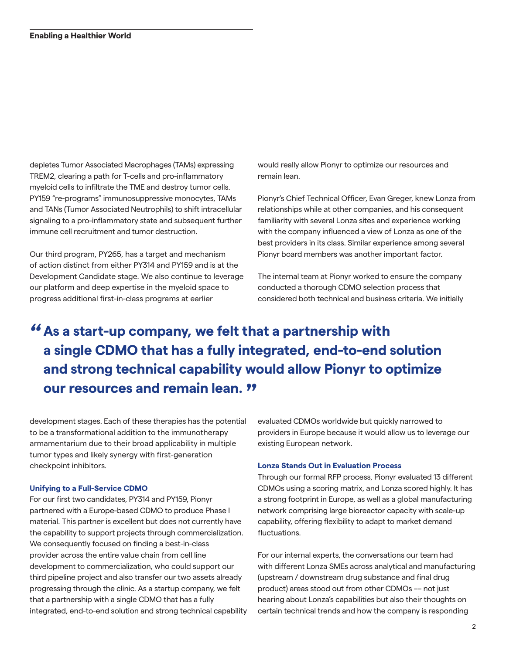depletes Tumor Associated Macrophages (TAMs) expressing TREM2, clearing a path for T-cells and pro-inflammatory myeloid cells to infiltrate the TME and destroy tumor cells. PY159 "re-programs" immunosuppressive monocytes, TAMs and TANs (Tumor Associated Neutrophils) to shift intracellular signaling to a pro-inflammatory state and subsequent further immune cell recruitment and tumor destruction.

Our third program, PY265, has a target and mechanism of action distinct from either PY314 and PY159 and is at the Development Candidate stage. We also continue to leverage our platform and deep expertise in the myeloid space to progress additional first-in-class programs at earlier

would really allow Pionyr to optimize our resources and remain lean.

Pionyr's Chief Technical Officer, Evan Greger, knew Lonza from relationships while at other companies, and his consequent familiarity with several Lonza sites and experience working with the company influenced a view of Lonza as one of the best providers in its class. Similar experience among several Pionyr board members was another important factor.

The internal team at Pionyr worked to ensure the company conducted a thorough CDMO selection process that considered both technical and business criteria. We initially

### **As a start-up company, we felt that a partnership with**  *"* **a single CDMO that has a fully integrated, end-to-end solution and strong technical capability would allow Pionyr to optimize our resources and remain lean. "**

development stages. Each of these therapies has the potential to be a transformational addition to the immunotherapy armamentarium due to their broad applicability in multiple tumor types and likely synergy with first-generation checkpoint inhibitors.

#### **Unifying to a Full-Service CDMO**

For our first two candidates, PY314 and PY159, Pionyr partnered with a Europe-based CDMO to produce Phase I material. This partner is excellent but does not currently have the capability to support projects through commercialization. We consequently focused on finding a best-in-class provider across the entire value chain from cell line development to commercialization, who could support our third pipeline project and also transfer our two assets already progressing through the clinic. As a startup company, we felt that a partnership with a single CDMO that has a fully integrated, end-to-end solution and strong technical capability evaluated CDMOs worldwide but quickly narrowed to providers in Europe because it would allow us to leverage our existing European network.

### **Lonza Stands Out in Evaluation Process**

Through our formal RFP process, Pionyr evaluated 13 different CDMOs using a scoring matrix, and Lonza scored highly. It has a strong footprint in Europe, as well as a global manufacturing network comprising large bioreactor capacity with scale-up capability, offering flexibility to adapt to market demand fluctuations.

For our internal experts, the conversations our team had with different Lonza SMEs across analytical and manufacturing (upstream / downstream drug substance and final drug product) areas stood out from other CDMOs –– not just hearing about Lonza's capabilities but also their thoughts on certain technical trends and how the company is responding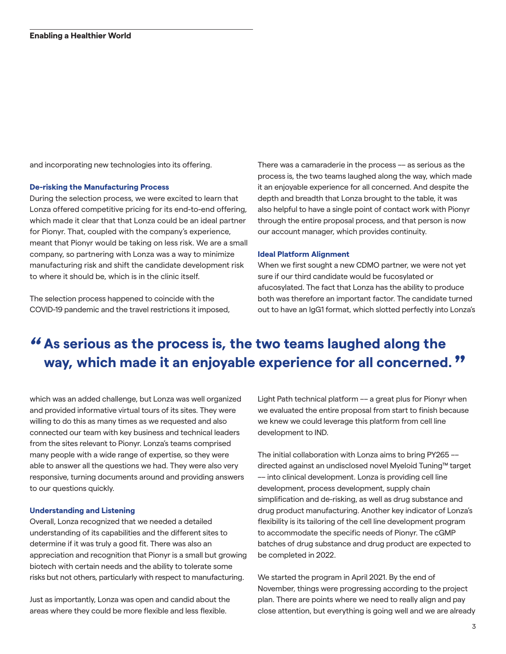and incorporating new technologies into its offering.

#### **De-risking the Manufacturing Process**

During the selection process, we were excited to learn that Lonza offered competitive pricing for its end-to-end offering, which made it clear that that Lonza could be an ideal partner for Pionyr. That, coupled with the company's experience, meant that Pionyr would be taking on less risk. We are a small company, so partnering with Lonza was a way to minimize manufacturing risk and shift the candidate development risk to where it should be, which is in the clinic itself.

The selection process happened to coincide with the COVID-19 pandemic and the travel restrictions it imposed, There was a camaraderie in the process –– as serious as the process is, the two teams laughed along the way, which made it an enjoyable experience for all concerned. And despite the depth and breadth that Lonza brought to the table, it was also helpful to have a single point of contact work with Pionyr through the entire proposal process, and that person is now our account manager, which provides continuity.

#### **Ideal Platform Alignment**

When we first sought a new CDMO partner, we were not yet sure if our third candidate would be fucosylated or afucosylated. The fact that Lonza has the ability to produce both was therefore an important factor. The candidate turned out to have an IgG1 format, which slotted perfectly into Lonza's

## **As serious as the process is, the two teams laughed along the**  *"* **way, which made it an enjoyable experience for all concerned. "**

which was an added challenge, but Lonza was well organized and provided informative virtual tours of its sites. They were willing to do this as many times as we requested and also connected our team with key business and technical leaders from the sites relevant to Pionyr. Lonza's teams comprised many people with a wide range of expertise, so they were able to answer all the questions we had. They were also very responsive, turning documents around and providing answers to our questions quickly.

### **Understanding and Listening**

Overall, Lonza recognized that we needed a detailed understanding of its capabilities and the different sites to determine if it was truly a good fit. There was also an appreciation and recognition that Pionyr is a small but growing biotech with certain needs and the ability to tolerate some risks but not others, particularly with respect to manufacturing.

Just as importantly, Lonza was open and candid about the areas where they could be more flexible and less flexible.

Light Path technical platform –– a great plus for Pionyr when we evaluated the entire proposal from start to finish because we knew we could leverage this platform from cell line development to IND.

The initial collaboration with Lonza aims to bring PY265 –– directed against an undisclosed novel Myeloid Tuning™ target –– into clinical development. Lonza is providing cell line development, process development, supply chain simplification and de-risking, as well as drug substance and drug product manufacturing. Another key indicator of Lonza's flexibility is its tailoring of the cell line development program to accommodate the specific needs of Pionyr. The cGMP batches of drug substance and drug product are expected to be completed in 2022.

We started the program in April 2021. By the end of November, things were progressing according to the project plan. There are points where we need to really align and pay close attention, but everything is going well and we are already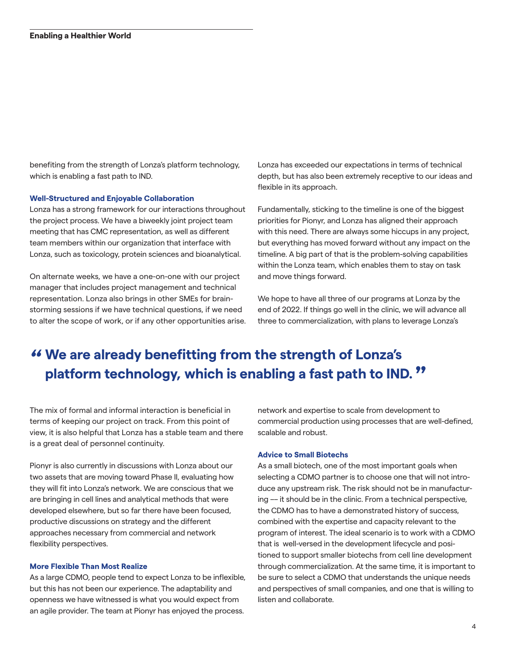benefiting from the strength of Lonza's platform technology, which is enabling a fast path to IND.

### **Well-Structured and Enjoyable Collaboration**

Lonza has a strong framework for our interactions throughout the project process. We have a biweekly joint project team meeting that has CMC representation, as well as different team members within our organization that interface with Lonza, such as toxicology, protein sciences and bioanalytical.

On alternate weeks, we have a one-on-one with our project manager that includes project management and technical representation. Lonza also brings in other SMEs for brainstorming sessions if we have technical questions, if we need to alter the scope of work, or if any other opportunities arise. Lonza has exceeded our expectations in terms of technical depth, but has also been extremely receptive to our ideas and flexible in its approach.

Fundamentally, sticking to the timeline is one of the biggest priorities for Pionyr, and Lonza has aligned their approach with this need. There are always some hiccups in any project, but everything has moved forward without any impact on the timeline. A big part of that is the problem-solving capabilities within the Lonza team, which enables them to stay on task and move things forward.

We hope to have all three of our programs at Lonza by the end of 2022. If things go well in the clinic, we will advance all three to commercialization, with plans to leverage Lonza's

### **We are already benefitting from the strength of Lonza's**  *"* **platform technology, which is enabling a fast path to IND. "**

The mix of formal and informal interaction is beneficial in terms of keeping our project on track. From this point of view, it is also helpful that Lonza has a stable team and there is a great deal of personnel continuity.

Pionyr is also currently in discussions with Lonza about our two assets that are moving toward Phase II, evaluating how they will fit into Lonza's network. We are conscious that we are bringing in cell lines and analytical methods that were developed elsewhere, but so far there have been focused, productive discussions on strategy and the different approaches necessary from commercial and network flexibility perspectives.

#### **More Flexible Than Most Realize**

As a large CDMO, people tend to expect Lonza to be inflexible, but this has not been our experience. The adaptability and openness we have witnessed is what you would expect from an agile provider. The team at Pionyr has enjoyed the process.

network and expertise to scale from development to commercial production using processes that are well-defined, scalable and robust.

### **Advice to Small Biotechs**

As a small biotech, one of the most important goals when selecting a CDMO partner is to choose one that will not introduce any upstream risk. The risk should not be in manufacturing –– it should be in the clinic. From a technical perspective, the CDMO has to have a demonstrated history of success, combined with the expertise and capacity relevant to the program of interest. The ideal scenario is to work with a CDMO that is well-versed in the development lifecycle and positioned to support smaller biotechs from cell line development through commercialization. At the same time, it is important to be sure to select a CDMO that understands the unique needs and perspectives of small companies, and one that is willing to listen and collaborate.